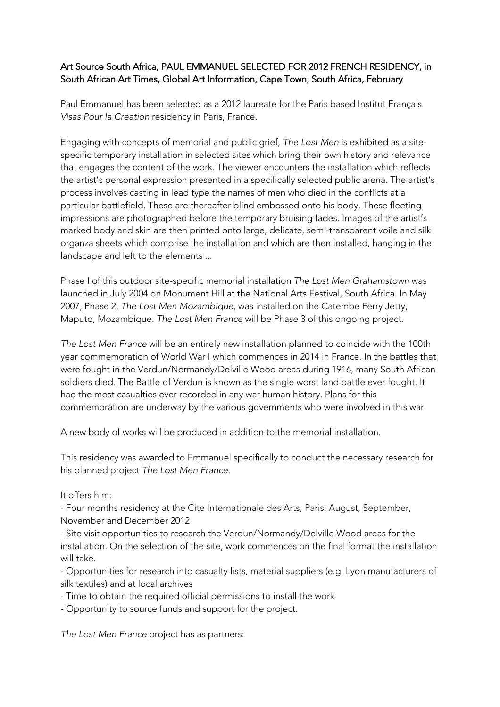## Art Source South Africa, PAUL EMMANUEL SELECTED FOR 2012 FRENCH RESIDENCY, in South African Art Times, Global Art Information, Cape Town, South Africa, February

Paul Emmanuel has been selected as a 2012 laureate for the Paris based Institut Français *Visas Pour la Creation* residency in Paris, France.

Engaging with concepts of memorial and public grief, *The Lost Men* is exhibited as a sitespecific temporary installation in selected sites which bring their own history and relevance that engages the content of the work. The viewer encounters the installation which reflects the artist's personal expression presented in a specifically selected public arena. The artist's process involves casting in lead type the names of men who died in the conflicts at a particular battlefield. These are thereafter blind embossed onto his body. These fleeting impressions are photographed before the temporary bruising fades. Images of the artist's marked body and skin are then printed onto large, delicate, semi-transparent voile and silk organza sheets which comprise the installation and which are then installed, hanging in the landscape and left to the elements ...

Phase I of this outdoor site-specific memorial installation *The Lost Men Grahamstown* was launched in July 2004 on Monument Hill at the National Arts Festival, South Africa. In May 2007, Phase 2, *The Lost Men Mozambique*, was installed on the Catembe Ferry Jetty, Maputo, Mozambique. *The Lost Men France* will be Phase 3 of this ongoing project.

*The Lost Men France* will be an entirely new installation planned to coincide with the 100th year commemoration of World War I which commences in 2014 in France. In the battles that were fought in the Verdun/Normandy/Delville Wood areas during 1916, many South African soldiers died. The Battle of Verdun is known as the single worst land battle ever fought. It had the most casualties ever recorded in any war human history. Plans for this commemoration are underway by the various governments who were involved in this war.

A new body of works will be produced in addition to the memorial installation.

This residency was awarded to Emmanuel specifically to conduct the necessary research for his planned project *The Lost Men France*.

It offers him:

- Four months residency at the Cite Internationale des Arts, Paris: August, September, November and December 2012

- Site visit opportunities to research the Verdun/Normandy/Delville Wood areas for the installation. On the selection of the site, work commences on the final format the installation will take.

- Opportunities for research into casualty lists, material suppliers (e.g. Lyon manufacturers of silk textiles) and at local archives

- Time to obtain the required official permissions to install the work
- Opportunity to source funds and support for the project.

*The Lost Men France* project has as partners: